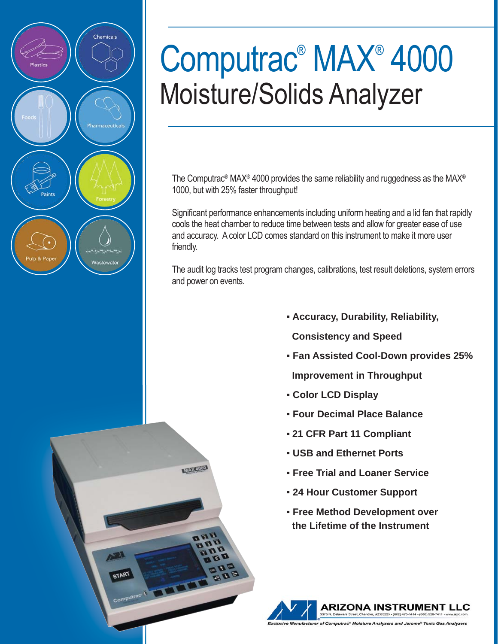

# Computrac® MAX® 4000 Moisture/Solids Analyzer

The Computrac® MAX® 4000 provides the same reliability and ruggedness as the MAX® 1000, but with 25% faster throughput!

Significant performance enhancements including uniform heating and a lid fan that rapidly cools the heat chamber to reduce time between tests and allow for greater ease of use and accuracy. A color LCD comes standard on this instrument to make it more user friendly.

The audit log tracks test program changes, calibrations, test result deletions, system errors and power on events.

- ▪ **Accuracy, Durability, Reliability,**
- **Consistency and Speed**
- ▪ **Fan Assisted Cool-Down provides 25%**
- **Improvement in Throughput**
- ▪ **Color LCD Display**

**NATIONAL ARRANGEMENT** 

START

- ▪ **Four Decimal Place Balance**
- **21 CFR Part 11 Compliant**
- ▪ **USB and Ethernet Ports**
- ▪ **Free Trial and Loaner Service**
- ▪ **24 Hour Customer Support**
- ▪ **Free Method Development over the Lifetime of the Instrument**